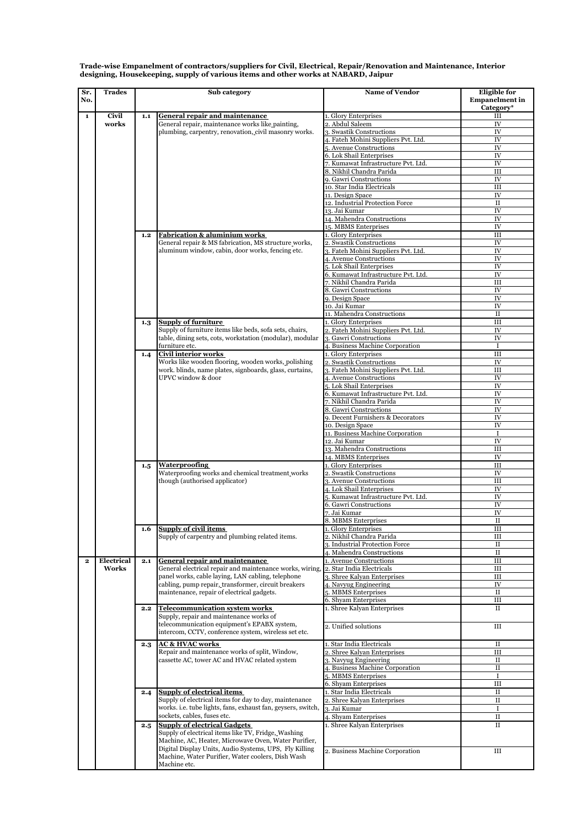| Sr.<br>No.   | Trades     | Sub category |                                                                                                                                                                                                                                                             | <b>Name of Vendor</b>                                           | <b>Eligible</b> for<br><b>Empanelment</b> in<br>Category* |
|--------------|------------|--------------|-------------------------------------------------------------------------------------------------------------------------------------------------------------------------------------------------------------------------------------------------------------|-----------------------------------------------------------------|-----------------------------------------------------------|
| $\mathbf{1}$ | Civil      | 1.1          | <b>General repair and maintenance</b>                                                                                                                                                                                                                       | 1. Glory Enterprises                                            | Ш                                                         |
|              | works      |              | General repair, maintenance works like painting,                                                                                                                                                                                                            | 2. Abdul Saleem                                                 | ${\rm IV}$                                                |
|              |            |              | plumbing, carpentry, renovation, civil masonry works.                                                                                                                                                                                                       | 3. Swastik Constructions                                        | IV                                                        |
|              |            |              |                                                                                                                                                                                                                                                             | 4. Fateh Mohini Suppliers Pvt. Ltd.                             | IV                                                        |
|              |            |              |                                                                                                                                                                                                                                                             | 5. Avenue Constructions                                         | IV                                                        |
|              |            |              |                                                                                                                                                                                                                                                             | 6. Lok Shail Enterprises<br>7. Kumawat Infrastructure Pvt. Ltd. | IV<br>IV                                                  |
|              |            |              |                                                                                                                                                                                                                                                             | 8. Nikhil Chandra Parida                                        | Ш                                                         |
|              |            |              |                                                                                                                                                                                                                                                             | 9. Gawri Constructions                                          | IV                                                        |
|              |            |              |                                                                                                                                                                                                                                                             | 10. Star India Electricals                                      | Ш                                                         |
|              |            |              |                                                                                                                                                                                                                                                             | 11. Design Space                                                | IV                                                        |
|              |            |              |                                                                                                                                                                                                                                                             | 12. Industrial Protection Force                                 | $\rm II$                                                  |
|              |            |              |                                                                                                                                                                                                                                                             | 13. Jai Kumar                                                   | IV                                                        |
|              |            |              |                                                                                                                                                                                                                                                             | 14. Mahendra Constructions                                      | IV                                                        |
|              |            |              |                                                                                                                                                                                                                                                             | 15. MBMS Enterprises                                            | IV                                                        |
|              |            | 1.2          | <b>Fabrication &amp; aluminium works</b>                                                                                                                                                                                                                    | 1. Glory Enterprises                                            | Ш                                                         |
|              |            |              | General repair & MS fabrication, MS structure works,                                                                                                                                                                                                        | 2. Swastik Constructions                                        | IV                                                        |
|              |            |              | aluminum window, cabin, door works, fencing etc.                                                                                                                                                                                                            | 3. Fateh Mohini Suppliers Pvt. Ltd.                             | ${\rm IV}$<br>IV                                          |
|              |            |              |                                                                                                                                                                                                                                                             | 4. Avenue Constructions<br>5. Lok Shail Enterprises             | IV                                                        |
|              |            |              |                                                                                                                                                                                                                                                             | 6. Kumawat Infrastructure Pvt. Ltd.                             | ${\rm IV}$                                                |
|              |            |              |                                                                                                                                                                                                                                                             | 7. Nikhil Chandra Parida                                        | Ш                                                         |
|              |            |              |                                                                                                                                                                                                                                                             | 8. Gawri Constructions                                          | IV                                                        |
|              |            |              |                                                                                                                                                                                                                                                             | 9. Design Space                                                 | IV                                                        |
|              |            |              |                                                                                                                                                                                                                                                             | 10. Jai Kumar                                                   | ${\rm IV}$                                                |
|              |            |              |                                                                                                                                                                                                                                                             | 11. Mahendra Constructions                                      | $_{\rm II}$                                               |
|              |            | 1.3          | <b>Supply of furniture</b>                                                                                                                                                                                                                                  | 1. Glory Enterprises                                            | $\rm III$                                                 |
|              |            |              | Supply of furniture items like beds, sofa sets, chairs,                                                                                                                                                                                                     | Fateh Mohini Suppliers Pvt. Ltd                                 | ${\rm IV}$                                                |
|              |            |              | table, dining sets, cots, workstation (modular), modular                                                                                                                                                                                                    | 3. Gawri Constructions                                          | IV                                                        |
|              |            |              | furniture etc.                                                                                                                                                                                                                                              | 4. Business Machine Corporation                                 | $\bf I$                                                   |
|              |            | 1.4          | Civil interior works                                                                                                                                                                                                                                        | 1. Glory Enterprises                                            | III                                                       |
|              |            |              | Works like wooden flooring, wooden works, polishing                                                                                                                                                                                                         | 2. Swastik Constructions                                        | IV                                                        |
|              |            |              | work, blinds, name plates, signboards, glass, curtains,                                                                                                                                                                                                     | 3. Fateh Mohini Suppliers Pvt. Ltd.                             | Ш                                                         |
|              |            |              | UPVC window & door                                                                                                                                                                                                                                          | 4. Avenue Constructions                                         | IV                                                        |
|              |            |              |                                                                                                                                                                                                                                                             | 5. Lok Shail Enterprises<br>6. Kumawat Infrastructure Pvt. Ltd. | IV<br>IV                                                  |
|              |            |              |                                                                                                                                                                                                                                                             | 7. Nikhil Chandra Parida                                        | IV                                                        |
|              |            |              |                                                                                                                                                                                                                                                             | 8. Gawri Constructions                                          | IV                                                        |
|              |            |              |                                                                                                                                                                                                                                                             | 9. Decent Furnishers & Decorators                               | IV                                                        |
|              |            |              |                                                                                                                                                                                                                                                             | 10. Design Space                                                | IV                                                        |
|              |            |              |                                                                                                                                                                                                                                                             | 11. Business Machine Corporation                                | $\mathbf I$                                               |
|              |            |              |                                                                                                                                                                                                                                                             | 12. Jai Kumar                                                   | IV                                                        |
|              |            |              |                                                                                                                                                                                                                                                             | 13. Mahendra Constructions                                      | Ш                                                         |
|              |            |              |                                                                                                                                                                                                                                                             | 14. MBMS Enterprises                                            | IV                                                        |
|              |            | 1.5          | <b>Waterproofing</b><br>Waterproofing works and chemical treatment works<br>though (authorised applicator)                                                                                                                                                  | 1. Glory Enterprises                                            | $\rm III$                                                 |
|              |            |              |                                                                                                                                                                                                                                                             | 2. Swastik Constructions                                        | IV                                                        |
|              |            |              |                                                                                                                                                                                                                                                             | 3. Avenue Constructions                                         | III                                                       |
|              |            |              |                                                                                                                                                                                                                                                             | 4. Lok Shail Enterprises                                        | ${\rm IV}$                                                |
|              |            |              |                                                                                                                                                                                                                                                             | 5. Kumawat Infrastructure Pvt. Ltd.<br>6. Gawri Constructions   | IV<br>IV                                                  |
|              |            |              |                                                                                                                                                                                                                                                             | 7. Jai Kumar                                                    | IV                                                        |
|              |            |              |                                                                                                                                                                                                                                                             | 8. MBMS Enterprises                                             | $_{\rm II}$                                               |
|              |            | 1.6          | Supply of civil items<br>Supply of carpentry and plumbing related items.                                                                                                                                                                                    | 1. Glory Enterprises                                            | Ш                                                         |
|              |            |              |                                                                                                                                                                                                                                                             | 2. Nikhil Chandra Parida                                        | Ш                                                         |
|              |            |              |                                                                                                                                                                                                                                                             | 3. Industrial Protection Force                                  | $\rm II$                                                  |
|              |            |              |                                                                                                                                                                                                                                                             | 4. Mahendra Constructions                                       | $\rm II$                                                  |
| $\mathbf{2}$ | Electrical | 2.1          | <b>General repair and maintenance</b>                                                                                                                                                                                                                       | 1. Avenue Constructions                                         | Ш                                                         |
|              | Works      |              | General electrical repair and maintenance works, wiring,<br>panel works, cable laying, LAN cabling, telephone<br>cabling, pump repair, transformer, circuit breakers<br>maintenance, repair of electrical gadgets.<br><b>Telecommunication system works</b> | 2. Star India Electricals                                       | Ш                                                         |
|              |            |              |                                                                                                                                                                                                                                                             | 3. Shree Kalyan Enterprises                                     | Ш                                                         |
|              |            |              |                                                                                                                                                                                                                                                             | 4. Navyug Engineering                                           | IV                                                        |
|              |            |              |                                                                                                                                                                                                                                                             | 5. MBMS Enterprises                                             | $\rm II$                                                  |
|              |            |              |                                                                                                                                                                                                                                                             | 6. Shyam Enterprises                                            | Ш                                                         |
|              |            | 2.2          | Supply, repair and maintenance works of<br>telecommunication equipment's EPABX system,<br>intercom, CCTV, conference system, wireless set etc.                                                                                                              | 1. Shree Kalyan Enterprises                                     | $\rm II$                                                  |
|              |            |              |                                                                                                                                                                                                                                                             |                                                                 |                                                           |
|              |            |              |                                                                                                                                                                                                                                                             | 2. Unified solutions                                            | Ш                                                         |
|              |            |              |                                                                                                                                                                                                                                                             |                                                                 |                                                           |
|              |            | 2.3          | <b>AC &amp; HVAC works</b><br>Repair and maintenance works of split, Window,<br>cassette AC, tower AC and HVAC related system                                                                                                                               | 1. Star India Electricals                                       | П                                                         |
|              |            |              |                                                                                                                                                                                                                                                             | 2. Shree Kalyan Enterprises                                     | Ш                                                         |
|              |            |              |                                                                                                                                                                                                                                                             | 3. Navyug Engineering                                           | $\rm II$                                                  |
|              |            |              |                                                                                                                                                                                                                                                             | <b>Business Machine Corporation</b>                             | $\mathbf{I}$                                              |
|              |            |              |                                                                                                                                                                                                                                                             | 5. MBMS Enterprises<br>6. Shyam Enterprises                     | $\rm I$<br>Ш                                              |
|              |            | 2.4          | <b>Supply of electrical items</b><br>Supply of electrical items for day to day, maintenance<br>works, i.e. tube lights, fans, exhaust fan, geysers, switch,<br>sockets, cables, fuses etc.                                                                  | 1. Star India Electricals                                       | $_{\rm II}$                                               |
|              |            |              |                                                                                                                                                                                                                                                             | 2. Shree Kalyan Enterprises                                     | $\rm II$                                                  |
|              |            |              |                                                                                                                                                                                                                                                             | 3. Jai Kumar                                                    | Ι                                                         |
|              |            |              |                                                                                                                                                                                                                                                             | 4. Shyam Enterprises                                            | $_{\rm II}$                                               |
|              |            | 2.5          | <b>Supply of electrical Gadgets</b>                                                                                                                                                                                                                         | 1. Shree Kalyan Enterprises                                     | $_{\rm II}$                                               |
|              |            |              | Supply of electrical items like TV, Fridge, Washing<br>Machine, AC, Heater, Microwave Oven, Water Purifier,                                                                                                                                                 |                                                                 |                                                           |
|              |            |              |                                                                                                                                                                                                                                                             |                                                                 |                                                           |
|              |            |              | Digital Display Units, Audio Systems, UPS, Fly Killing                                                                                                                                                                                                      | 2. Business Machine Corporation                                 | Ш                                                         |
|              |            |              | Machine, Water Purifier, Water coolers, Dish Wash                                                                                                                                                                                                           |                                                                 |                                                           |
|              |            |              | Machine etc.                                                                                                                                                                                                                                                |                                                                 |                                                           |

**Trade-wise Empanelment of contractors/suppliers for Civil, Electrical, Repair/Renovation and Maintenance, Interior designing, Housekeeping, supply of various items and other works at NABARD, Jaipur**